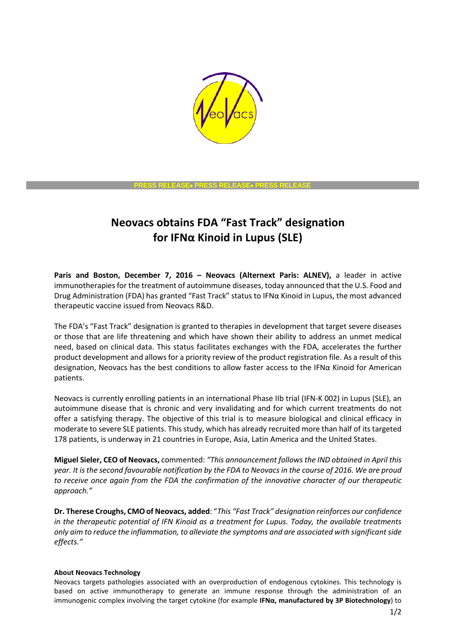

# **PRESS RELEASE**• **PRESS RELEASE**• **PRESS RELEASE**

# **Neovacs obtains FDA "Fast Track" designation for IFNα Kinoid in Lupus (SLE)**

**Paris and Boston, December 7, 2016 – Neovacs (Alternext Paris: ALNEV),** a leader in active immunotherapies for the treatment of autoimmune diseases, today announced that the U.S. Food and Drug Administration (FDA) has granted "Fast Track" status to IFNα Kinoid in Lupus, the most advanced therapeutic vaccine issued from Neovacs R&D.

The FDA's "Fast Track" designation is granted to therapies in development that target severe diseases or those that are life threatening and which have shown their ability to address an unmet medical need, based on clinical data. This status facilitates exchanges with the FDA, accelerates the further product development and allows for a priority review of the product registration file. As a result of this designation, Neovacs has the best conditions to allow faster access to the IFNα Kinoid for American patients.

Neovacs is currently enrolling patients in an international Phase IIb trial (IFN-K 002) in Lupus (SLE), an autoimmune disease that is chronic and very invalidating and for which current treatments do not offer a satisfying therapy. The objective of this trial is to measure biological and clinical efficacy in moderate to severe SLE patients. This study, which has already recruited more than half of its targeted 178 patients, is underway in 21 countries in Europe, Asia, Latin America and the United States.

**Miguel Sieler, CEO of Neovacs,** commented: *"This announcement follows the IND obtained in April this year. It is the second favourable notification by the FDA to Neovacs in the course of 2016. We are proud to receive once again from the FDA the confirmation of the innovative character of our therapeutic approach."*

**Dr. Therese Croughs, CMO of Neovacs, added**: "*This "Fast Track" designation reinforces our confidence in the therapeutic potential of IFN Kinoid as a treatment for Lupus. Today, the available treatments only aim to reduce the inflammation, to alleviate the symptoms and are associated with significantside effects."*

### **About Neovacs Technology**

Neovacs targets pathologies associated with an overproduction of endogenous cytokines. This technology is based on active immunotherapy to generate an immune response through the administration of an immunogenic complex involving the target cytokine (for example **IFNα, manufactured by 3P Biotechnology**) to